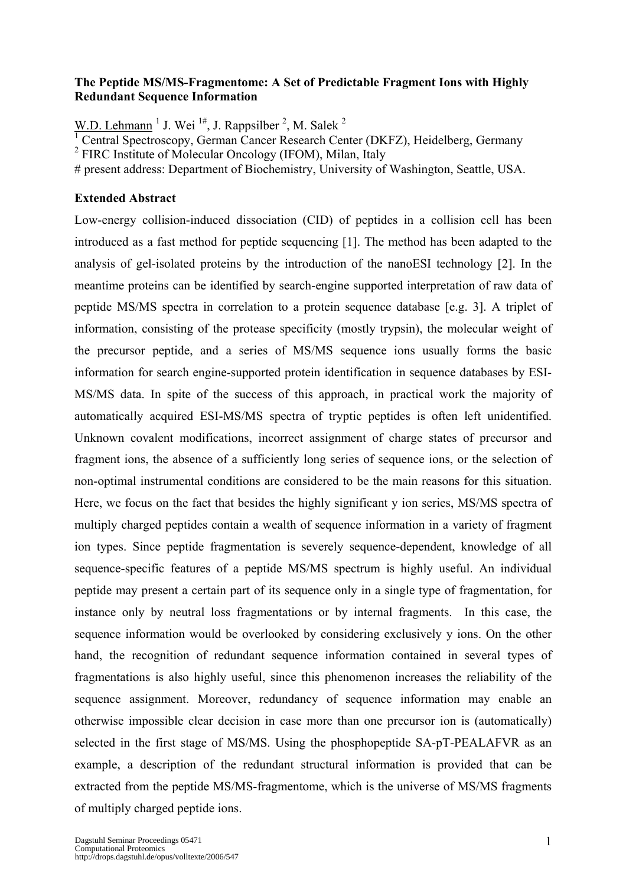## **The Peptide MS/MS-Fragmentome: A Set of Predictable Fragment Ions with Highly Redundant Sequence Information**

W.D. Lehmann<sup>1</sup> J. Wei<sup>1#</sup>, J. Rappsilber<sup>2</sup>, M. Salek<sup>2</sup>

1 Central Spectroscopy, German Cancer Research Center (DKFZ), Heidelberg, Germany

<sup>2</sup> FIRC Institute of Molecular Oncology (IFOM), Milan, Italy

# present address: Department of Biochemistry, University of Washington, Seattle, USA.

## **Extended Abstract**

Low-energy collision-induced dissociation (CID) of peptides in a collision cell has been introduced as a fast method for peptide sequencing [1]. The method has been adapted to the analysis of gel-isolated proteins by the introduction of the nanoESI technology [2]. In the meantime proteins can be identified by search-engine supported interpretation of raw data of peptide MS/MS spectra in correlation to a protein sequence database [e.g. 3]. A triplet of information, consisting of the protease specificity (mostly trypsin), the molecular weight of the precursor peptide, and a series of MS/MS sequence ions usually forms the basic information for search engine-supported protein identification in sequence databases by ESI-MS/MS data. In spite of the success of this approach, in practical work the majority of automatically acquired ESI-MS/MS spectra of tryptic peptides is often left unidentified. Unknown covalent modifications, incorrect assignment of charge states of precursor and fragment ions, the absence of a sufficiently long series of sequence ions, or the selection of non-optimal instrumental conditions are considered to be the main reasons for this situation. Here, we focus on the fact that besides the highly significant y ion series, MS/MS spectra of multiply charged peptides contain a wealth of sequence information in a variety of fragment ion types. Since peptide fragmentation is severely sequence-dependent, knowledge of all sequence-specific features of a peptide MS/MS spectrum is highly useful. An individual peptide may present a certain part of its sequence only in a single type of fragmentation, for instance only by neutral loss fragmentations or by internal fragments. In this case, the sequence information would be overlooked by considering exclusively y ions. On the other hand, the recognition of redundant sequence information contained in several types of fragmentations is also highly useful, since this phenomenon increases the reliability of the sequence assignment. Moreover, redundancy of sequence information may enable an otherwise impossible clear decision in case more than one precursor ion is (automatically) selected in the first stage of MS/MS. Using the phosphopeptide SA-pT-PEALAFVR as an example, a description of the redundant structural information is provided that can be extracted from the peptide MS/MS-fragmentome, which is the universe of MS/MS fragments of multiply charged peptide ions.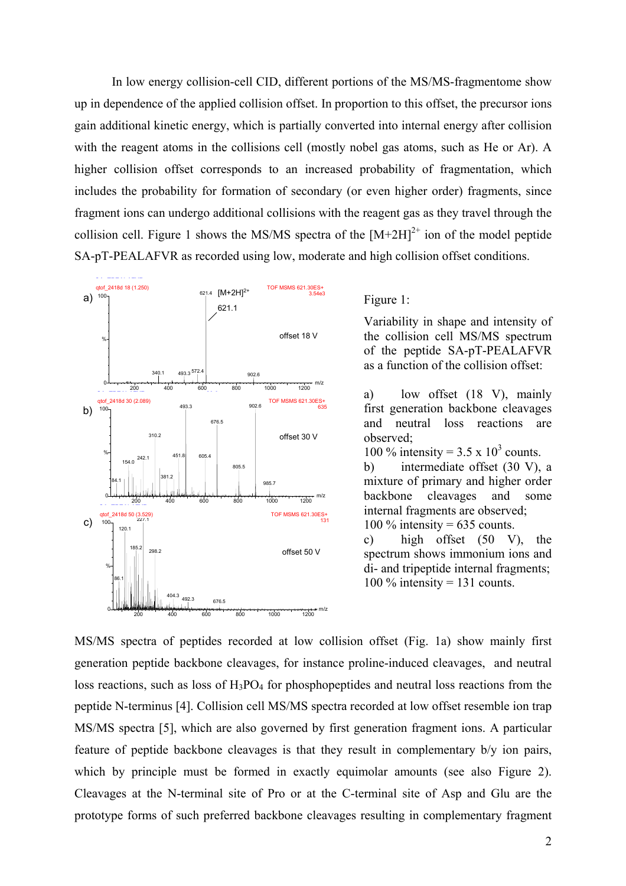In low energy collision-cell CID, different portions of the MS/MS-fragmentome show up in dependence of the applied collision offset. In proportion to this offset, the precursor ions gain additional kinetic energy, which is partially converted into internal energy after collision with the reagent atoms in the collisions cell (mostly nobel gas atoms, such as He or Ar). A higher collision offset corresponds to an increased probability of fragmentation, which includes the probability for formation of secondary (or even higher order) fragments, since fragment ions can undergo additional collisions with the reagent gas as they travel through the collision cell. Figure 1 shows the MS/MS spectra of the  $[M+2H]^{2+}$  ion of the model peptide SA-pT-PEALAFVR as recorded using low, moderate and high collision offset conditions.



Figure 1:

Variability in shape and intensity of the collision cell MS/MS spectrum of the peptide SA-pT-PEALAFVR as a function of the collision offset:

a) low offset (18 V), mainly first generation backbone cleavages and neutral loss reactions are observed;

100 % intensity =  $3.5 \times 10^3$  counts.

b) intermediate offset (30 V), a mixture of primary and higher order backbone cleavages and some internal fragments are observed; 100  $\%$  intensity = 635 counts.

c) high offset (50 V), the spectrum shows immonium ions and di- and tripeptide internal fragments; 100 % intensity = 131 counts.

MS/MS spectra of peptides recorded at low collision offset (Fig. 1a) show mainly first generation peptide backbone cleavages, for instance proline-induced cleavages, and neutral loss reactions, such as loss of  $H_3PO_4$  for phosphopeptides and neutral loss reactions from the peptide N-terminus [4]. Collision cell MS/MS spectra recorded at low offset resemble ion trap MS/MS spectra [5], which are also governed by first generation fragment ions. A particular feature of peptide backbone cleavages is that they result in complementary b/y ion pairs, which by principle must be formed in exactly equimolar amounts (see also Figure 2). Cleavages at the N-terminal site of Pro or at the C-terminal site of Asp and Glu are the prototype forms of such preferred backbone cleavages resulting in complementary fragment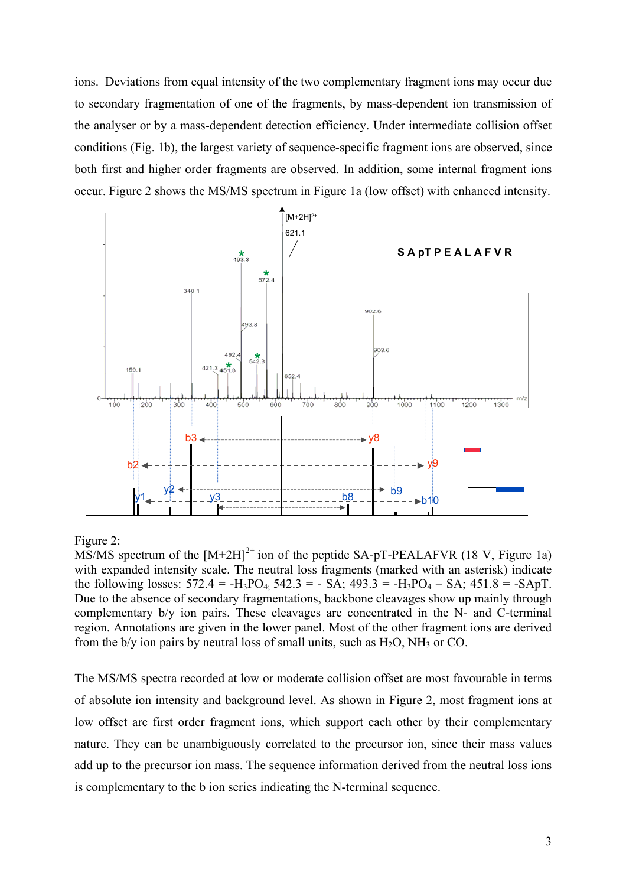ions. Deviations from equal intensity of the two complementary fragment ions may occur due to secondary fragmentation of one of the fragments, by mass-dependent ion transmission of the analyser or by a mass-dependent detection efficiency. Under intermediate collision offset conditions (Fig. 1b), the largest variety of sequence-specific fragment ions are observed, since both first and higher order fragments are observed. In addition, some internal fragment ions occur. Figure 2 shows the MS/MS spectrum in Figure 1a (low offset) with enhanced intensity.



## Figure 2:

MS/MS spectrum of the  $[M+2H]^2$  ion of the peptide SA-pT-PEALAFVR (18 V, Figure 1a) with expanded intensity scale. The neutral loss fragments (marked with an asterisk) indicate the following losses:  $572.4 = -H_3PO_4$ :  $542.3 = -SA$ ;  $493.3 = -H_3PO_4 - SA$ ;  $451.8 = -SApT$ . Due to the absence of secondary fragmentations, backbone cleavages show up mainly through complementary b/y ion pairs. These cleavages are concentrated in the N- and C-terminal region. Annotations are given in the lower panel. Most of the other fragment ions are derived from the  $b/v$  ion pairs by neutral loss of small units, such as  $H<sub>2</sub>O$ ,  $NH<sub>3</sub>$  or CO.

The MS/MS spectra recorded at low or moderate collision offset are most favourable in terms of absolute ion intensity and background level. As shown in Figure 2, most fragment ions at low offset are first order fragment ions, which support each other by their complementary nature. They can be unambiguously correlated to the precursor ion, since their mass values add up to the precursor ion mass. The sequence information derived from the neutral loss ions is complementary to the b ion series indicating the N-terminal sequence.